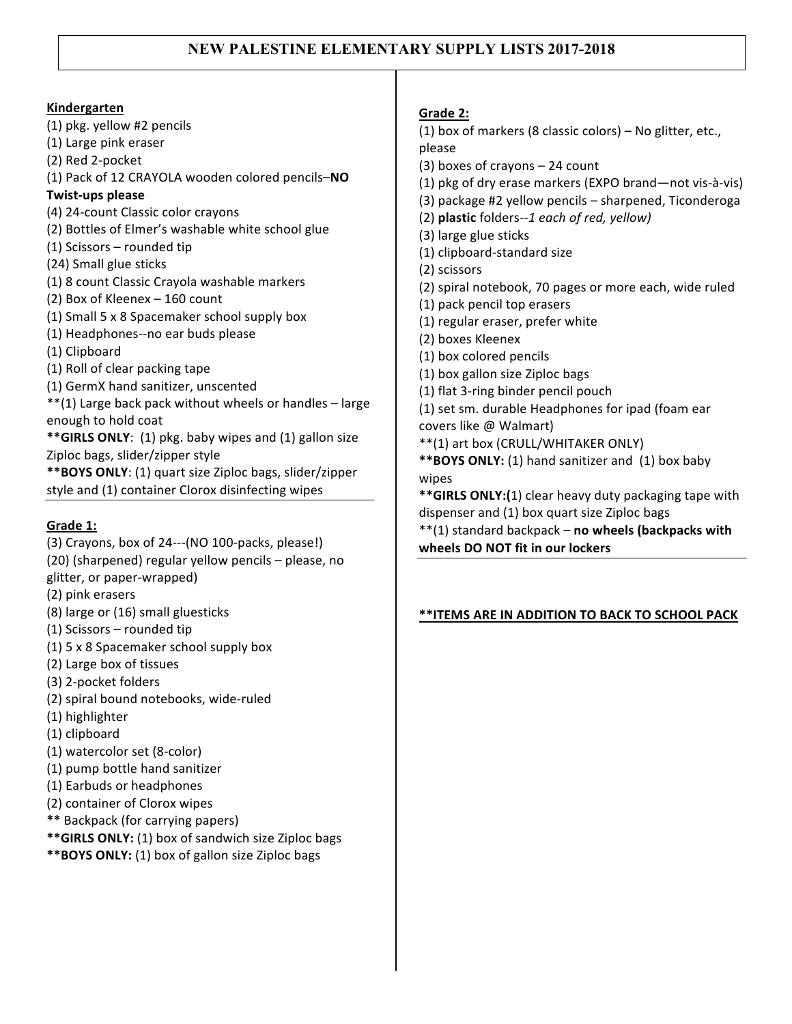# **NEW PALESTINE ELEMENTARY SUPPLY LISTS 2017-2018**

### **Kindergarten**

(1) pkg. yellow #2 pencils (1) Large pink eraser (2) Red 2-pocket (1) Pack of 12 CRAYOLA wooden colored pencils-NO **Twist-ups please** (4) 24-count Classic color crayons (2) Bottles of Elmer's washable white school glue (1) Scissors  $-$  rounded tip (24) Small glue sticks (1) 8 count Classic Crayola washable markers (2) Box of Kleenex - 160 count (1) Small 5 x 8 Spacemaker school supply box (1) Headphones--no ear buds please (1) Clipboard (1) Roll of clear packing tape (1) GermX hand sanitizer, unscented  $**(1)$  Large back pack without wheels or handles  $-$  large enough to hold coat **\*\*GIRLS ONLY:** (1) pkg. baby wipes and (1) gallon size Ziploc bags, slider/zipper style \*\*BOYS ONLY: (1) quart size Ziploc bags, slider/zipper style and (1) container Clorox disinfecting wipes

# Grade 1:

- $(3)$  Crayons, box of 24--- $(NO 100$ -packs, please!) (20) (sharpened) regular yellow pencils - please, no glitter, or paper-wrapped)
- (2) pink erasers
- (8) large or (16) small gluesticks
- $(1)$  Scissors rounded tip
- (1)  $5 \times 8$  Spacemaker school supply box
- (2) Large box of tissues
- (3) 2-pocket folders
- (2) spiral bound notebooks, wide-ruled
- (1) highlighter
- (1) clipboard
- (1) watercolor set (8-color)
- (1) pump bottle hand sanitizer
- (1) Earbuds or headphones
- (2) container of Clorox wipes
- **\*\*** Backpack (for carrying papers)
- \*\* GIRLS ONLY: (1) box of sandwich size Ziploc bags
- \*\***BOYS ONLY:** (1) box of gallon size Ziploc bags

### **Grade 2:**

- (1) box of markers (8 classic colors)  $-$  No glitter, etc., please
- $(3)$  boxes of crayons  $-24$  count
- (1) pkg of dry erase markers (EXPO brand—not vis-à-vis)
- $(3)$  package #2 yellow pencils sharpened, Ticonderoga
- (2) **plastic** folders*--1 each of red, yellow)*
- (3) large glue sticks
- (1) clipboard-standard size
- (2) scissors
- (2) spiral notebook, 70 pages or more each, wide ruled
- (1) pack pencil top erasers
- (1) regular eraser, prefer white
- (2) boxes Kleenex
- (1) box colored pencils
- (1) box gallon size Ziploc bags
- (1) flat 3-ring binder pencil pouch
- (1) set sm. durable Headphones for ipad (foam ear covers like @ Walmart)
- \*\*(1) art box (CRULL/WHITAKER ONLY)
- \*\*BOYS ONLY: (1) hand sanitizer and (1) box baby wipes

**\*\*GIRLS ONLY:(1)** clear heavy duty packaging tape with dispenser and (1) box quart size Ziploc bags

\*\*(1) standard backpack - no wheels (backpacks with wheels DO NOT fit in our lockers

# **\*\*ITEMS ARE IN ADDITION TO BACK TO SCHOOL PACK**